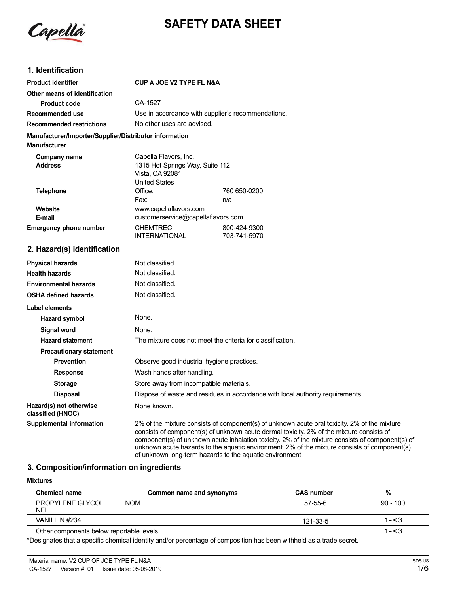

# **SAFETY DATA SHEET**

# **1. Identification**

| <b>Product identifier</b>                                                     | <b>CUP A JOE V2 TYPE FL N&amp;A</b>                                                                 |                              |
|-------------------------------------------------------------------------------|-----------------------------------------------------------------------------------------------------|------------------------------|
| Other means of identification                                                 |                                                                                                     |                              |
| <b>Product code</b>                                                           | CA-1527                                                                                             |                              |
| Recommended use                                                               | Use in accordance with supplier's recommendations.                                                  |                              |
| <b>Recommended restrictions</b>                                               | No other uses are advised.                                                                          |                              |
| Manufacturer/Importer/Supplier/Distributor information<br><b>Manufacturer</b> |                                                                                                     |                              |
| Company name<br><b>Address</b>                                                | Capella Flavors, Inc.<br>1315 Hot Springs Way, Suite 112<br>Vista, CA 92081<br><b>United States</b> |                              |
| <b>Telephone</b>                                                              | Office:                                                                                             | 760 650-0200                 |
|                                                                               | Fax:                                                                                                | n/a                          |
| Website<br>E-mail                                                             | www.capellaflavors.com<br>customerservice@capellaflavors.com                                        |                              |
| <b>Emergency phone number</b>                                                 | <b>CHEMTREC</b><br><b>INTERNATIONAL</b>                                                             | 800-424-9300<br>703-741-5970 |
| 2. Hazard(s) identification                                                   |                                                                                                     |                              |
| <b>Physical hazards</b>                                                       | Not classified.                                                                                     |                              |
| <b>Health hazards</b>                                                         | Not classified.                                                                                     |                              |
| <b>Environmental hazards</b>                                                  | Not classified.                                                                                     |                              |
| <b>OSHA defined hazards</b>                                                   | Not classified.                                                                                     |                              |
|                                                                               |                                                                                                     |                              |

| OOHA GUNIUG HULUI UJ                         |                                                                                                                                                                                                                                                                                                                                                                                              |
|----------------------------------------------|----------------------------------------------------------------------------------------------------------------------------------------------------------------------------------------------------------------------------------------------------------------------------------------------------------------------------------------------------------------------------------------------|
| Label elements                               |                                                                                                                                                                                                                                                                                                                                                                                              |
| Hazard symbol                                | None.                                                                                                                                                                                                                                                                                                                                                                                        |
| Signal word                                  | None.                                                                                                                                                                                                                                                                                                                                                                                        |
| <b>Hazard statement</b>                      | The mixture does not meet the criteria for classification.                                                                                                                                                                                                                                                                                                                                   |
| <b>Precautionary statement</b>               |                                                                                                                                                                                                                                                                                                                                                                                              |
| <b>Prevention</b>                            | Observe good industrial hygiene practices.                                                                                                                                                                                                                                                                                                                                                   |
| <b>Response</b>                              | Wash hands after handling.                                                                                                                                                                                                                                                                                                                                                                   |
| <b>Storage</b>                               | Store away from incompatible materials.                                                                                                                                                                                                                                                                                                                                                      |
| <b>Disposal</b>                              | Dispose of waste and residues in accordance with local authority requirements.                                                                                                                                                                                                                                                                                                               |
| Hazard(s) not otherwise<br>classified (HNOC) | None known.                                                                                                                                                                                                                                                                                                                                                                                  |
| Supplemental information                     | 2% of the mixture consists of component(s) of unknown acute oral toxicity. 2% of the mixture<br>consists of component(s) of unknown acute dermal toxicity. 2% of the mixture consists of<br>component(s) of unknown acute inhalation toxicity. 2% of the mixture consists of component(s) of<br>unknown acute hazards to the aquatic environment. 2% of the mixture consists of component(s) |

of unknown long-term hazards to the aquatic environment.

# **3. Composition/information on ingredients**

| <b>Mixtures</b>                          |                          |                   |            |
|------------------------------------------|--------------------------|-------------------|------------|
| <b>Chemical name</b>                     | Common name and synonyms | <b>CAS number</b> | %          |
| PROPYLENE GLYCOL<br>NFI                  | <b>NOM</b>               | 57-55-6           | $90 - 100$ |
| VANILLIN #234                            |                          | 121-33-5          | $1 - 3$    |
| Other components below reportable levels |                          |                   | $1 - 3$    |

\*Designates that a specific chemical identity and/or percentage of composition has been withheld as a trade secret.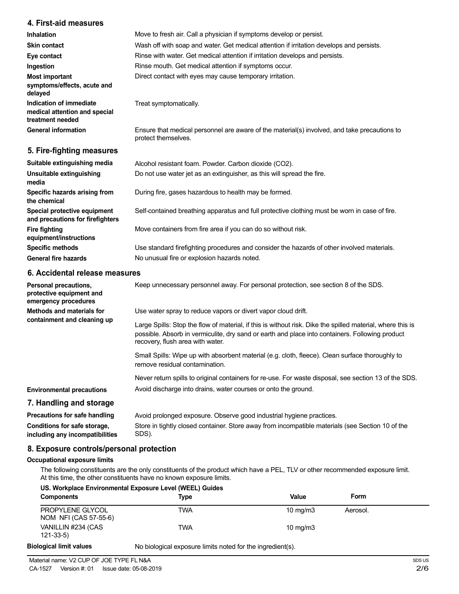### **4. First-aid measures**

| <b>Inhalation</b>                                                            | Move to fresh air. Call a physician if symptoms develop or persist.                                                 |
|------------------------------------------------------------------------------|---------------------------------------------------------------------------------------------------------------------|
| <b>Skin contact</b>                                                          | Wash off with soap and water. Get medical attention if irritation develops and persists.                            |
| Eye contact                                                                  | Rinse with water. Get medical attention if irritation develops and persists.                                        |
| Ingestion                                                                    | Rinse mouth. Get medical attention if symptoms occur.                                                               |
| <b>Most important</b><br>symptoms/effects, acute and<br>delayed              | Direct contact with eyes may cause temporary irritation.                                                            |
| Indication of immediate<br>medical attention and special<br>treatment needed | Treat symptomatically.                                                                                              |
| <b>General information</b>                                                   | Ensure that medical personnel are aware of the material(s) involved, and take precautions to<br>protect themselves. |
| 5. Fire-fighting measures                                                    |                                                                                                                     |

| Alcohol resistant foam. Powder. Carbon dioxide (CO2).                                         |
|-----------------------------------------------------------------------------------------------|
| Do not use water jet as an extinguisher, as this will spread the fire.                        |
| During fire, gases hazardous to health may be formed.                                         |
| Self-contained breathing apparatus and full protective clothing must be worn in case of fire. |
| Move containers from fire area if you can do so without risk.                                 |
| Use standard firefighting procedures and consider the hazards of other involved materials.    |
| No unusual fire or explosion hazards noted.                                                   |
|                                                                                               |

### **6. Accidental release measures**

| Personal precautions,<br>protective equipment and<br>emergency procedures | Keep unnecessary personnel away. For personal protection, see section 8 of the SDS.                                                                                                                                                               |
|---------------------------------------------------------------------------|---------------------------------------------------------------------------------------------------------------------------------------------------------------------------------------------------------------------------------------------------|
| Methods and materials for<br>containment and cleaning up                  | Use water spray to reduce vapors or divert vapor cloud drift.                                                                                                                                                                                     |
|                                                                           | Large Spills: Stop the flow of material, if this is without risk. Dike the spilled material, where this is<br>possible. Absorb in vermiculite, dry sand or earth and place into containers. Following product<br>recovery, flush area with water. |
|                                                                           | Small Spills: Wipe up with absorbent material (e.g. cloth, fleece). Clean surface thoroughly to<br>remove residual contamination.                                                                                                                 |
|                                                                           | Never return spills to original containers for re-use. For waste disposal, see section 13 of the SDS.                                                                                                                                             |
| <b>Environmental precautions</b>                                          | Avoid discharge into drains, water courses or onto the ground.                                                                                                                                                                                    |
| 7. Handling and storage                                                   |                                                                                                                                                                                                                                                   |
| Precautions for safe handling                                             | Avoid prolonged exposure. Observe good industrial hygiene practices.                                                                                                                                                                              |
| Conditions for safe storage,<br>including any incompatibilities           | Store in tightly closed container. Store away from incompatible materials (see Section 10 of the<br>SDS).                                                                                                                                         |

# **8. Exposure controls/personal protection**

#### **Occupational exposure limits**

The following constituents are the only constituents of the product which have a PEL, TLV or other recommended exposure limit. At this time, the other constituents have no known exposure limits.

| <b>Components</b>                         | <b>Type</b> | Value             | Form     |
|-------------------------------------------|-------------|-------------------|----------|
| PROPYLENE GLYCOL<br>NOM NFI (CAS 57-55-6) | TWA         | $10 \text{ mg/m}$ | Aerosol. |
| VANILLIN #234 (CAS<br>$121 - 33 - 5$      | <b>TWA</b>  | $10 \text{ mg/m}$ |          |

# **Biological limit values**

No biological exposure limits noted for the ingredient(s).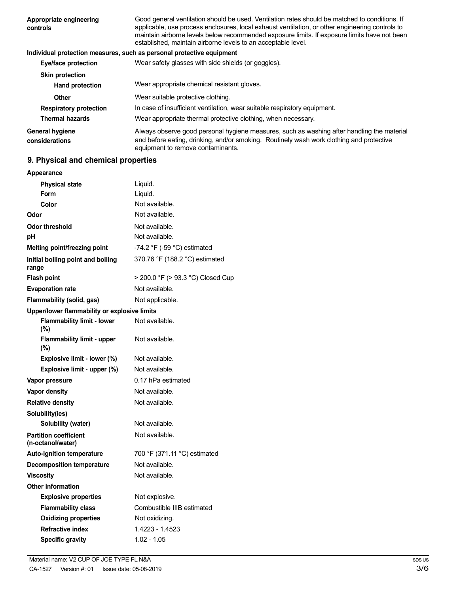| Appropriate engineering<br>controls | Good general ventilation should be used. Ventilation rates should be matched to conditions. If<br>applicable, use process enclosures, local exhaust ventilation, or other engineering controls to<br>maintain airborne levels below recommended exposure limits. If exposure limits have not been<br>established, maintain airborne levels to an acceptable level. |
|-------------------------------------|--------------------------------------------------------------------------------------------------------------------------------------------------------------------------------------------------------------------------------------------------------------------------------------------------------------------------------------------------------------------|
|                                     | Individual protection measures, such as personal protective equipment                                                                                                                                                                                                                                                                                              |
| Eye/face protection                 | Wear safety glasses with side shields (or goggles).                                                                                                                                                                                                                                                                                                                |
| <b>Skin protection</b>              |                                                                                                                                                                                                                                                                                                                                                                    |
| <b>Hand protection</b>              | Wear appropriate chemical resistant gloves.                                                                                                                                                                                                                                                                                                                        |
| Other                               | Wear suitable protective clothing.                                                                                                                                                                                                                                                                                                                                 |
| <b>Respiratory protection</b>       | In case of insufficient ventilation, wear suitable respiratory equipment.                                                                                                                                                                                                                                                                                          |
| <b>Thermal hazards</b>              | Wear appropriate thermal protective clothing, when necessary.                                                                                                                                                                                                                                                                                                      |
| General hygiene<br>considerations   | Always observe good personal hygiene measures, such as washing after handling the material<br>and before eating, drinking, and/or smoking. Routinely wash work clothing and protective<br>equipment to remove contaminants.                                                                                                                                        |

# **9. Physical and chemical properties**

| Appearance                                        |                                               |
|---------------------------------------------------|-----------------------------------------------|
| <b>Physical state</b>                             | Liquid.                                       |
| Form                                              | Liquid.                                       |
| Color                                             | Not available.                                |
| Odor                                              | Not available.                                |
| <b>Odor threshold</b>                             | Not available.                                |
| рH                                                | Not available.                                |
| Melting point/freezing point                      | -74.2 $\degree$ F (-59 $\degree$ C) estimated |
| Initial boiling point and boiling<br>range        | 370.76 °F (188.2 °C) estimated                |
| <b>Flash point</b>                                | > 200.0 °F (> 93.3 °C) Closed Cup             |
| <b>Evaporation rate</b>                           | Not available.                                |
| Flammability (solid, gas)                         | Not applicable.                               |
| Upper/lower flammability or explosive limits      |                                               |
| <b>Flammability limit - lower</b><br>$(\%)$       | Not available.                                |
| <b>Flammability limit - upper</b><br>(%)          | Not available.                                |
| Explosive limit - lower (%)                       | Not available.                                |
| Explosive limit - upper (%)                       | Not available.                                |
| Vapor pressure                                    | 0.17 hPa estimated                            |
| <b>Vapor density</b>                              | Not available.                                |
| <b>Relative density</b>                           | Not available.                                |
| Solubility(ies)                                   |                                               |
| Solubility (water)                                | Not available.                                |
| <b>Partition coefficient</b><br>(n-octanol/water) | Not available.                                |
| <b>Auto-ignition temperature</b>                  | 700 °F (371.11 °C) estimated                  |
| <b>Decomposition temperature</b>                  | Not available.                                |
| <b>Viscosity</b>                                  | Not available.                                |
| <b>Other information</b>                          |                                               |
| <b>Explosive properties</b>                       | Not explosive.                                |
| <b>Flammability class</b>                         | Combustible IIIB estimated                    |
| <b>Oxidizing properties</b>                       | Not oxidizing.                                |
| <b>Refractive index</b>                           | 1.4223 - 1.4523                               |
| <b>Specific gravity</b>                           | $1.02 - 1.05$                                 |
|                                                   |                                               |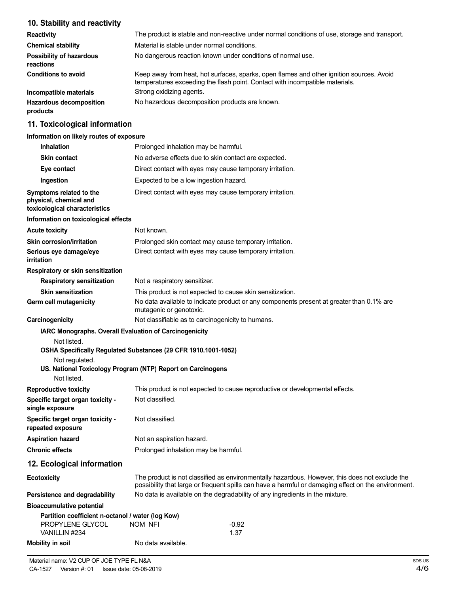# **10. Stability and reactivity**

| <b>Reactivity</b>                            | The product is stable and non-reactive under normal conditions of use, storage and transport.                                                                            |
|----------------------------------------------|--------------------------------------------------------------------------------------------------------------------------------------------------------------------------|
| <b>Chemical stability</b>                    | Material is stable under normal conditions.                                                                                                                              |
| <b>Possibility of hazardous</b><br>reactions | No dangerous reaction known under conditions of normal use.                                                                                                              |
| <b>Conditions to avoid</b>                   | Keep away from heat, hot surfaces, sparks, open flames and other ignition sources. Avoid<br>temperatures exceeding the flash point. Contact with incompatible materials. |
| Incompatible materials                       | Strong oxidizing agents.                                                                                                                                                 |
| <b>Hazardous decomposition</b><br>products   | No hazardous decomposition products are known.                                                                                                                           |

### **11. Toxicological information**

### **Information on likely routes of exposure**

| <b>Inhalation</b>                                                                  | Prolonged inhalation may be harmful.                                                                                                                                                                  |
|------------------------------------------------------------------------------------|-------------------------------------------------------------------------------------------------------------------------------------------------------------------------------------------------------|
| <b>Skin contact</b>                                                                | No adverse effects due to skin contact are expected.                                                                                                                                                  |
| Eye contact                                                                        | Direct contact with eyes may cause temporary irritation.                                                                                                                                              |
| Ingestion                                                                          | Expected to be a low ingestion hazard.                                                                                                                                                                |
| Symptoms related to the<br>physical, chemical and<br>toxicological characteristics | Direct contact with eyes may cause temporary irritation.                                                                                                                                              |
| Information on toxicological effects                                               |                                                                                                                                                                                                       |
| <b>Acute toxicity</b>                                                              | Not known.                                                                                                                                                                                            |
| <b>Skin corrosion/irritation</b>                                                   | Prolonged skin contact may cause temporary irritation.                                                                                                                                                |
| Serious eye damage/eye<br>irritation                                               | Direct contact with eyes may cause temporary irritation.                                                                                                                                              |
| Respiratory or skin sensitization                                                  |                                                                                                                                                                                                       |
| <b>Respiratory sensitization</b>                                                   | Not a respiratory sensitizer.                                                                                                                                                                         |
| <b>Skin sensitization</b>                                                          | This product is not expected to cause skin sensitization.                                                                                                                                             |
| Germ cell mutagenicity                                                             | No data available to indicate product or any components present at greater than 0.1% are<br>mutagenic or genotoxic.                                                                                   |
| Carcinogenicity                                                                    | Not classifiable as to carcinogenicity to humans.                                                                                                                                                     |
| Not listed.<br>Not regulated.<br>Not listed.                                       | OSHA Specifically Regulated Substances (29 CFR 1910.1001-1052)<br>US. National Toxicology Program (NTP) Report on Carcinogens                                                                         |
| <b>Reproductive toxicity</b>                                                       | This product is not expected to cause reproductive or developmental effects.                                                                                                                          |
| Specific target organ toxicity -<br>single exposure                                | Not classified.                                                                                                                                                                                       |
| Specific target organ toxicity -<br>repeated exposure                              | Not classified.                                                                                                                                                                                       |
| <b>Aspiration hazard</b>                                                           | Not an aspiration hazard.                                                                                                                                                                             |
| <b>Chronic effects</b>                                                             | Prolonged inhalation may be harmful.                                                                                                                                                                  |
| 12. Ecological information                                                         |                                                                                                                                                                                                       |
| <b>Ecotoxicity</b>                                                                 | The product is not classified as environmentally hazardous. However, this does not exclude the<br>possibility that large or frequent spills can have a harmful or damaging effect on the environment. |
| Persistence and degradability                                                      | No data is available on the degradability of any ingredients in the mixture.                                                                                                                          |
| <b>Bioaccumulative potential</b>                                                   |                                                                                                                                                                                                       |
| Partition coefficient n-octanol / water (log Kow)                                  |                                                                                                                                                                                                       |
| PROPYLENE GLYCOL<br>VANILLIN #234                                                  | NOM NFI<br>$-0.92$<br>1.37                                                                                                                                                                            |
| <b>Mobility in soil</b>                                                            | No data available.                                                                                                                                                                                    |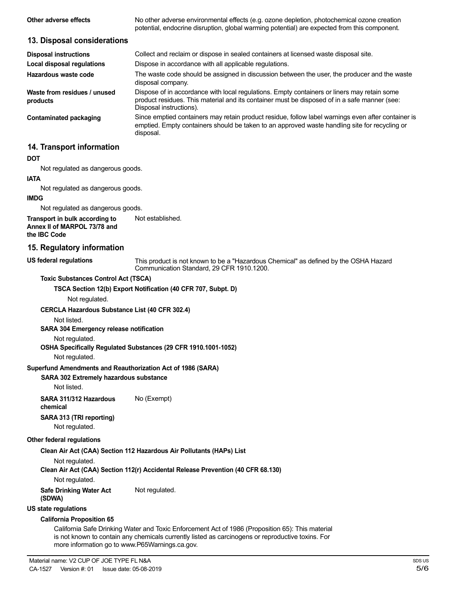| Other adverse effects                                                                 | No other adverse environmental effects (e.g. ozone depletion, photochemical ozone creation<br>potential, endocrine disruption, global warming potential) are expected from this component.                             |
|---------------------------------------------------------------------------------------|------------------------------------------------------------------------------------------------------------------------------------------------------------------------------------------------------------------------|
| 13. Disposal considerations                                                           |                                                                                                                                                                                                                        |
| <b>Disposal instructions</b>                                                          | Collect and reclaim or dispose in sealed containers at licensed waste disposal site.                                                                                                                                   |
| Local disposal regulations                                                            | Dispose in accordance with all applicable regulations.                                                                                                                                                                 |
| Hazardous waste code                                                                  | The waste code should be assigned in discussion between the user, the producer and the waste<br>disposal company.                                                                                                      |
| Waste from residues / unused<br>products                                              | Dispose of in accordance with local regulations. Empty containers or liners may retain some<br>product residues. This material and its container must be disposed of in a safe manner (see:<br>Disposal instructions). |
| Contaminated packaging                                                                | Since emptied containers may retain product residue, follow label warnings even after container is<br>emptied. Empty containers should be taken to an approved waste handling site for recycling or<br>disposal.       |
| 14. Transport information                                                             |                                                                                                                                                                                                                        |
| <b>DOT</b>                                                                            |                                                                                                                                                                                                                        |
| Not regulated as dangerous goods.                                                     |                                                                                                                                                                                                                        |
| <b>IATA</b>                                                                           |                                                                                                                                                                                                                        |
| Not regulated as dangerous goods.                                                     |                                                                                                                                                                                                                        |
| <b>IMDG</b>                                                                           |                                                                                                                                                                                                                        |
| Not regulated as dangerous goods.                                                     |                                                                                                                                                                                                                        |
| Transport in bulk according to<br>Annex II of MARPOL 73/78 and<br>the <b>IBC</b> Code | Not established.                                                                                                                                                                                                       |
| 15 Deculatory information                                                             |                                                                                                                                                                                                                        |

#### **15. Regulatory information**

#### **US federal regulations**

This product is not known to be a "Hazardous Chemical" as defined by the OSHA Hazard Communication Standard, 29 CFR 1910.1200.

#### **Toxic Substances Control Act (TSCA)**

**TSCA Section 12(b) Export Notification (40 CFR 707, Subpt. D)**

Not regulated.

#### **CERCLA Hazardous Substance List (40 CFR 302.4)**

Not listed.

#### **SARA 304 Emergency release notification**

Not regulated.

#### **OSHA Specifically Regulated Substances (29 CFR 1910.1001-1052)**

Not regulated.

#### **Superfund Amendments and Reauthorization Act of 1986 (SARA)**

#### **SARA 302 Extremely hazardous substance**

Not listed.

**SARA 311/312 Hazardous** No (Exempt) **chemical**

# **SARA 313 (TRI reporting)**

Not regulated.

#### **Other federal regulations**

#### **Clean Air Act (CAA) Section 112 Hazardous Air Pollutants (HAPs) List**

Not regulated.

**Clean Air Act (CAA) Section 112(r) Accidental Release Prevention (40 CFR 68.130)**

Not regulated.

**Safe Drinking Water Act** Not regulated.

# **(SDWA)**

### **US state regulations**

#### **California Proposition 65**

California Safe Drinking Water and Toxic Enforcement Act of 1986 (Proposition 65): This material is not known to contain any chemicals currently listed as carcinogens or reproductive toxins. For more information go to www.P65Warnings.ca.gov.